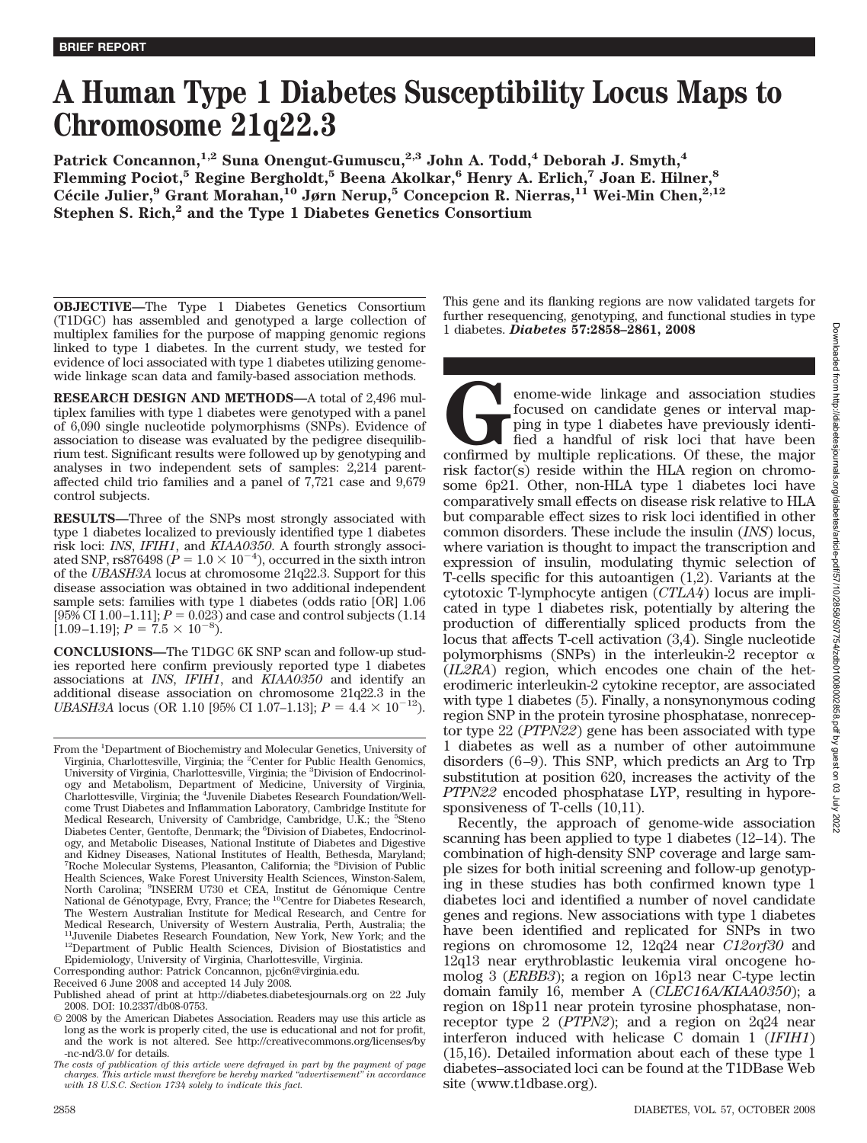# **A Human Type 1 Diabetes Susceptibility Locus Maps to Chromosome 21q22.3**

**Patrick Concannon,1,2 Suna Onengut-Gumuscu,2,3 John A. Todd,4 Deborah J. Smyth,4 Flemming Pociot,5 Regine Bergholdt,5 Beena Akolkar,6 Henry A. Erlich,7 Joan E. Hilner,8 Ce´ cile Julier,9 Grant Morahan,10 Jørn Nerup,5 Concepcion R. Nierras,11 Wei-Min Chen,2,12 Stephen S. Rich,2 and the Type 1 Diabetes Genetics Consortium**

**OBJECTIVE—**The Type 1 Diabetes Genetics Consortium (T1DGC) has assembled and genotyped a large collection of multiplex families for the purpose of mapping genomic regions linked to type 1 diabetes. In the current study, we tested for evidence of loci associated with type 1 diabetes utilizing genomewide linkage scan data and family-based association methods.

**RESEARCH DESIGN AND METHODS—**A total of 2,496 multiplex families with type 1 diabetes were genotyped with a panel of 6,090 single nucleotide polymorphisms (SNPs). Evidence of association to disease was evaluated by the pedigree disequilibrium test. Significant results were followed up by genotyping and analyses in two independent sets of samples: 2,214 parentaffected child trio families and a panel of 7,721 case and 9,679 control subjects.

**RESULTS—**Three of the SNPs most strongly associated with type 1 diabetes localized to previously identified type 1 diabetes risk loci: *INS*, *IFIH1*, and *KIAA0350*. A fourth strongly associated SNP, rs876498 ( $\dot{P} = 1.0 \times 10^{-4}$ ), occurred in the sixth intron of the *UBASH3A* locus at chromosome 21q22.3. Support for this disease association was obtained in two additional independent sample sets: families with type 1 diabetes (odds ratio [OR] 1.06  $[95\% \text{ CI } 1.00 - 1.11]$ ;  $P = 0.023$ ) and case and control subjects (1.14  $[1.09-1.19]$ ;  $P = 7.5 \times 10^{-8}$ ).

**CONCLUSIONS—**The T1DGC 6K SNP scan and follow-up studies reported here confirm previously reported type 1 diabetes associations at *INS*, *IFIH1*, and *KIAA0350* and identify an additional disease association on chromosome 21q22.3 in the *UBASH3A* locus (OR 1.10 [95% CI 1.07–1.13];  $P = 4.4 \times 10^{-12}$ ).

This gene and its flanking regions are now validated targets for further resequencing, genotyping, and functional studies in type 1 diabetes. *Diabetes* **57:2858–2861, 2008**

enome-wide linkage and association studies<br>focused on candidate genes or interval map-<br>ping in type 1 diabetes have previously identi-<br>fied a handful of risk loci that have been<br>confirmed by multiple replications. Of these focused on candidate genes or interval mapping in type 1 diabetes have previously identified a handful of risk loci that have been risk factor(s) reside within the HLA region on chromosome 6p21. Other, non-HLA type 1 diabetes loci have comparatively small effects on disease risk relative to HLA but comparable effect sizes to risk loci identified in other common disorders. These include the insulin (*INS*) locus, where variation is thought to impact the transcription and expression of insulin, modulating thymic selection of T-cells specific for this autoantigen (1,2). Variants at the cytotoxic T-lymphocyte antigen (*CTLA4*) locus are implicated in type 1 diabetes risk, potentially by altering the production of differentially spliced products from the locus that affects T-cell activation (3,4). Single nucleotide polymorphisms (SNPs) in the interleukin-2 receptor  $\alpha$ (*IL2RA*) region, which encodes one chain of the heterodimeric interleukin-2 cytokine receptor, are associated with type 1 diabetes (5). Finally, a nonsynonymous coding region SNP in the protein tyrosine phosphatase, nonreceptor type 22 (*PTPN22*) gene has been associated with type 1 diabetes as well as a number of other autoimmune disorders  $(6-9)$ . This SNP, which predicts an Arg to Trp substitution at position 620, increases the activity of the *PTPN22* encoded phosphatase LYP, resulting in hyporesponsiveness of T-cells (10,11).

Recently, the approach of genome-wide association scanning has been applied to type 1 diabetes (12–14). The combination of high-density SNP coverage and large sample sizes for both initial screening and follow-up genotyping in these studies has both confirmed known type 1 diabetes loci and identified a number of novel candidate genes and regions. New associations with type 1 diabetes have been identified and replicated for SNPs in two regions on chromosome 12, 12q24 near *C12orf30* and 12q13 near erythroblastic leukemia viral oncogene homolog 3 (*ERBB3*); a region on 16p13 near C-type lectin domain family 16, member A (*CLEC16A/KIAA0350*); a region on 18p11 near protein tyrosine phosphatase, nonreceptor type 2 (*PTPN2*); and a region on 2q24 near interferon induced with helicase C domain 1 (*IFIH1*) (15,16). Detailed information about each of these type 1 diabetes–associated loci can be found at the T1DBase Web site (www.t1dbase.org).

From the <sup>1</sup>Department of Biochemistry and Molecular Genetics, University of Virginia, Charlottesville, Virginia; the <sup>2</sup>Center for Public Health Genomics, University of Virginia, Charlottesville, Virginia; the <sup>3</sup>Division of Endocrinology and Metabolism, Department of Medicine, University of Virginia, Charlottesville, Virginia; the <sup>4</sup>Juvenile Diabetes Research Foundation/Wellcome Trust Diabetes and Inflammation Laboratory, Cambridge Institute for Medical Research, University of Cambridge, Cambridge, U.K.; the <sup>5</sup>Steno Diabetes Center, Gentofte, Denmark; the <sup>6</sup>Division of Diabetes, Endocrinology, and Metabolic Diseases, National Institute of Diabetes and Digestive and Kidney Diseases, National Institutes of Health, Bethesda, Maryland; <sup>7</sup>Roche Molecular Systems, Pleasanton, California; the <sup>8</sup>Division of Public Health Sciences, Wake Forest University Health Sciences, Winston-Salem,<br>North Carolina; <sup>9</sup>INSERM U730 et CEA, Institut de Génomique Centre National de Génotypage, Evry, France; the <sup>10</sup>Centre for Diabetes Research, The Western Australian Institute for Medical Research, and Centre for Medical Research, University of Western Australia, Perth, Australia; the <sup>11</sup>Juvenile Diabetes Research Foundation, New York, New York; and the <sup>12</sup>Department of Public Health Sciences, Division of Biostatistics and Epidemiology, University of Virginia, Charlottesville, Virginia.

Corresponding author: Patrick Concannon, pjc6n@virginia.edu.

Received 6 June 2008 and accepted 14 July 2008.

Published ahead of print at http://diabetes.diabetesjournals.org on 22 July 2008. DOI: 10.2337/db08-0753.

<sup>© 2008</sup> by the American Diabetes Association. Readers may use this article as long as the work is properly cited, the use is educational and not for profit, and the work is not altered. See http://creativecommons.org/licenses/by -nc-nd/3.0/ for details.

*The costs of publication of this article were defrayed in part by the payment of page charges. This article must therefore be hereby marked "advertisement" in accordance with 18 U.S.C. Section 1734 solely to indicate this fact.*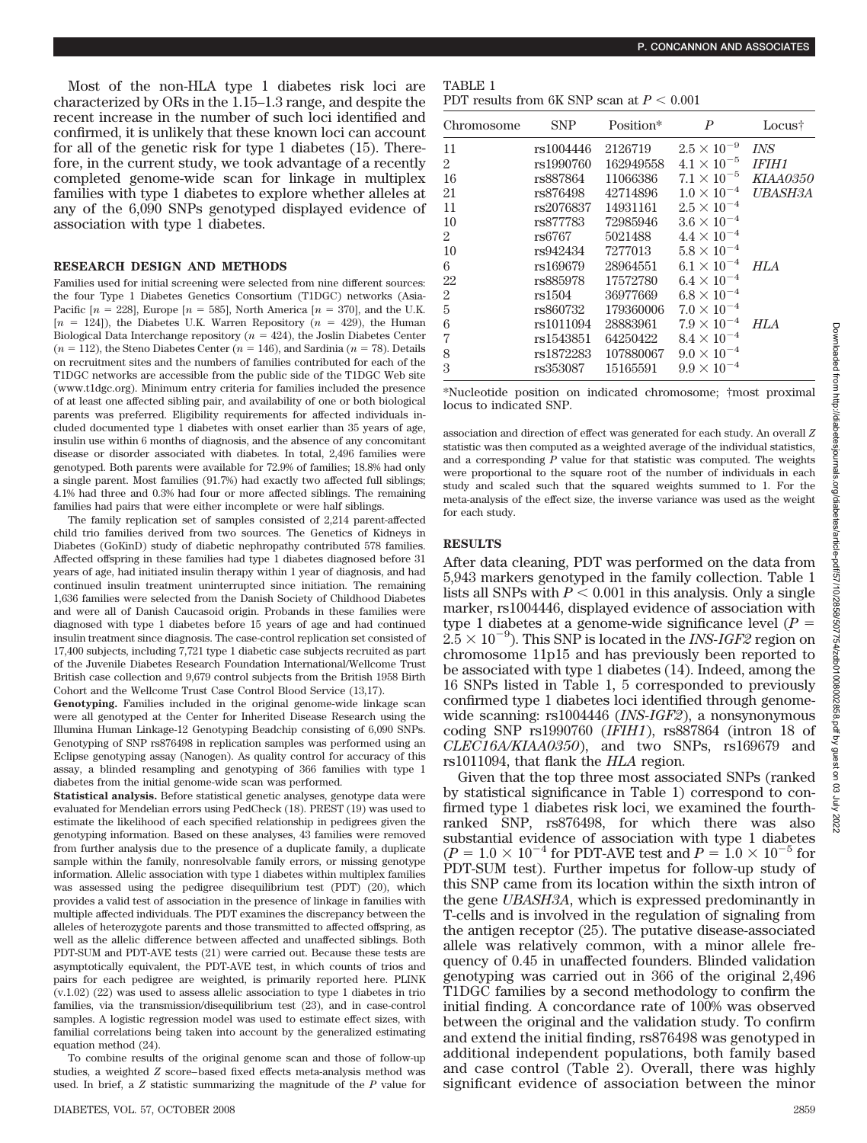Most of the non-HLA type 1 diabetes risk loci are characterized by ORs in the 1.15–1.3 range, and despite the recent increase in the number of such loci identified and confirmed, it is unlikely that these known loci can account for all of the genetic risk for type 1 diabetes (15). Therefore, in the current study, we took advantage of a recently completed genome-wide scan for linkage in multiplex families with type 1 diabetes to explore whether alleles at any of the 6,090 SNPs genotyped displayed evidence of association with type 1 diabetes.

# **RESEARCH DESIGN AND METHODS**

Families used for initial screening were selected from nine different sources: the four Type 1 Diabetes Genetics Consortium (T1DGC) networks (Asia-Pacific  $[n = 228]$ , Europe  $[n = 585]$ , North America  $[n = 370]$ , and the U.K.  $[n = 124]$ ), the Diabetes U.K. Warren Repository  $(n = 429)$ , the Human Biological Data Interchange repository  $(n = 424)$ , the Joslin Diabetes Center  $(n = 112)$ , the Steno Diabetes Center  $(n = 146)$ , and Sardinia  $(n = 78)$ . Details on recruitment sites and the numbers of families contributed for each of the T1DGC networks are accessible from the public side of the T1DGC Web site (www.t1dgc.org). Minimum entry criteria for families included the presence of at least one affected sibling pair, and availability of one or both biological parents was preferred. Eligibility requirements for affected individuals included documented type 1 diabetes with onset earlier than 35 years of age, insulin use within 6 months of diagnosis, and the absence of any concomitant disease or disorder associated with diabetes. In total, 2,496 families were genotyped. Both parents were available for 72.9% of families; 18.8% had only a single parent. Most families (91.7%) had exactly two affected full siblings; 4.1% had three and 0.3% had four or more affected siblings. The remaining families had pairs that were either incomplete or were half siblings.

The family replication set of samples consisted of 2,214 parent-affected child trio families derived from two sources. The Genetics of Kidneys in Diabetes (GoKinD) study of diabetic nephropathy contributed 578 families. Affected offspring in these families had type 1 diabetes diagnosed before 31 years of age, had initiated insulin therapy within 1 year of diagnosis, and had continued insulin treatment uninterrupted since initiation. The remaining 1,636 families were selected from the Danish Society of Childhood Diabetes and were all of Danish Caucasoid origin. Probands in these families were diagnosed with type 1 diabetes before 15 years of age and had continued insulin treatment since diagnosis. The case-control replication set consisted of 17,400 subjects, including 7,721 type 1 diabetic case subjects recruited as part of the Juvenile Diabetes Research Foundation International/Wellcome Trust British case collection and 9,679 control subjects from the British 1958 Birth Cohort and the Wellcome Trust Case Control Blood Service (13,17).

**Genotyping.** Families included in the original genome-wide linkage scan were all genotyped at the Center for Inherited Disease Research using the Illumina Human Linkage-12 Genotyping Beadchip consisting of 6,090 SNPs. Genotyping of SNP rs876498 in replication samples was performed using an Eclipse genotyping assay (Nanogen). As quality control for accuracy of this assay, a blinded resampling and genotyping of 366 families with type 1 diabetes from the initial genome-wide scan was performed.

**Statistical analysis.** Before statistical genetic analyses, genotype data were evaluated for Mendelian errors using PedCheck (18). PREST (19) was used to estimate the likelihood of each specified relationship in pedigrees given the genotyping information. Based on these analyses, 43 families were removed from further analysis due to the presence of a duplicate family, a duplicate sample within the family, nonresolvable family errors, or missing genotype information. Allelic association with type 1 diabetes within multiplex families was assessed using the pedigree disequilibrium test (PDT) (20), which provides a valid test of association in the presence of linkage in families with multiple affected individuals. The PDT examines the discrepancy between the alleles of heterozygote parents and those transmitted to affected offspring, as well as the allelic difference between affected and unaffected siblings. Both PDT-SUM and PDT-AVE tests (21) were carried out. Because these tests are asymptotically equivalent, the PDT-AVE test, in which counts of trios and pairs for each pedigree are weighted, is primarily reported here. PLINK (v.1.02) (22) was used to assess allelic association to type 1 diabetes in trio families, via the transmission/disequilibrium test (23), and in case-control samples. A logistic regression model was used to estimate effect sizes, with familial correlations being taken into account by the generalized estimating equation method (24).

To combine results of the original genome scan and those of follow-up studies, a weighted *Z* score– based fixed effects meta-analysis method was used. In brief, a *Z* statistic summarizing the magnitude of the *P* value for

TABLE 1 PDT results from 6K SNP scan at  $P < 0.001$ 

| Chromosome     | <b>SNP</b> | Position* | $\boldsymbol{P}$     | Locus†          |
|----------------|------------|-----------|----------------------|-----------------|
| 11             | rs1004446  | 2126719   | $2.5 \times 10^{-9}$ | <b>INS</b>      |
| $\overline{2}$ | rs1990760  | 162949558 | $4.1 \times 10^{-5}$ | <b>IFIH1</b>    |
| 16             | rs887864   | 11066386  | $7.1 \times 10^{-5}$ | <b>KIAA0350</b> |
| 21             | rs876498   | 42714896  | $1.0 \times 10^{-4}$ | <b>UBASH3A</b>  |
| 11             | rs2076837  | 14931161  | $2.5 \times 10^{-4}$ |                 |
| 10             | rs877783   | 72985946  | $3.6 \times 10^{-4}$ |                 |
| $\overline{2}$ | rs6767     | 5021488   | $4.4 \times 10^{-4}$ |                 |
| 10             | rs942434   | 7277013   | $5.8 \times 10^{-4}$ |                 |
| 6              | rs169679   | 28964551  | $6.1 \times 10^{-4}$ | HLA             |
| 22             | rs885978   | 17572780  | $6.4 \times 10^{-4}$ |                 |
| $\overline{2}$ | rs1504     | 36977669  | $6.8 \times 10^{-4}$ |                 |
| 5              | rs860732   | 179360006 | $7.0 \times 10^{-4}$ |                 |
| 6              | rs1011094  | 28883961  | $7.9 \times 10^{-4}$ | HLA             |
| 7              | rs1543851  | 64250422  | $8.4 \times 10^{-4}$ |                 |
| 8              | rs1872283  | 107880067 | $9.0 \times 10^{-4}$ |                 |
| 3              | rs353087   | 15165591  | $9.9 \times 10^{-4}$ |                 |

\*Nucleotide position on indicated chromosome; †most proximal locus to indicated SNP.

association and direction of effect was generated for each study. An overall *Z* statistic was then computed as a weighted average of the individual statistics, and a corresponding *P* value for that statistic was computed. The weights were proportional to the square root of the number of individuals in each study and scaled such that the squared weights summed to 1. For the meta-analysis of the effect size, the inverse variance was used as the weight for each study.

#### **RESULTS**

After data cleaning, PDT was performed on the data from 5,943 markers genotyped in the family collection. Table 1 lists all SNPs with  $P < 0.001$  in this analysis. Only a single marker, rs1004446, displayed evidence of association with type 1 diabetes at a genome-wide significance level (*P*  $2.5 \times 10^{-9}$ ). This SNP is located in the *INS-IGF2* region on chromosome 11p15 and has previously been reported to be associated with type 1 diabetes (14). Indeed, among the 16 SNPs listed in Table 1, 5 corresponded to previously confirmed type 1 diabetes loci identified through genomewide scanning: rs1004446 (*INS-IGF2*), a nonsynonymous coding SNP rs1990760 (*IFIH1*), rs887864 (intron 18 of *CLEC16A/KIAA0350*), and two SNPs, rs169679 and rs1011094, that flank the *HLA* region.

Given that the top three most associated SNPs (ranked by statistical significance in Table 1) correspond to confirmed type 1 diabetes risk loci, we examined the fourthranked SNP, rs876498, for which there was also substantial evidence of association with type 1 diabetes  $(P = 1.0 \times 10^{-4} \text{ for PDT-AVE test and } P = 1.0 \times 10^{-5} \text{ for}$ PDT-SUM test). Further impetus for follow-up study of this SNP came from its location within the sixth intron of the gene *UBASH3A*, which is expressed predominantly in T-cells and is involved in the regulation of signaling from the antigen receptor (25). The putative disease-associated allele was relatively common, with a minor allele frequency of 0.45 in unaffected founders. Blinded validation genotyping was carried out in 366 of the original 2,496 T1DGC families by a second methodology to confirm the initial finding. A concordance rate of 100% was observed between the original and the validation study. To confirm and extend the initial finding, rs876498 was genotyped in additional independent populations, both family based and case control (Table 2). Overall, there was highly significant evidence of association between the minor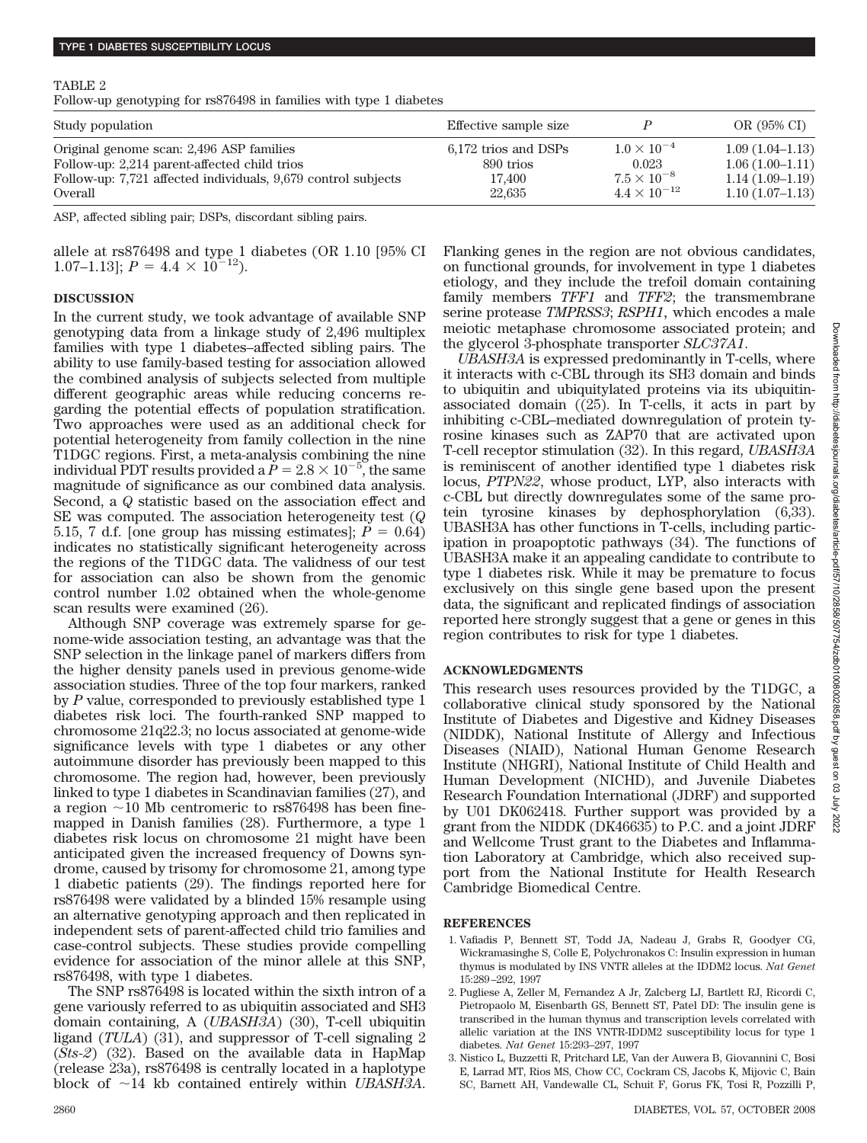### TABLE 2

Follow-up genotyping for rs876498 in families with type 1 diabetes

| Study population                                              | Effective sample size |                       | OR (95% CI)       |
|---------------------------------------------------------------|-----------------------|-----------------------|-------------------|
| Original genome scan: 2,496 ASP families                      | 6,172 trios and DSPs  | $1.0 \times 10^{-4}$  | $1.09(1.04-1.13)$ |
| Follow-up: 2,214 parent-affected child trios                  | 890 trios             | 0.023                 | $1.06(1.00-1.11)$ |
| Follow-up: 7,721 affected individuals, 9,679 control subjects | 17.400                | $7.5 \times 10^{-8}$  | $1.14(1.09-1.19)$ |
| Overall                                                       | 22.635                | $4.4 \times 10^{-12}$ | $1.10(1.07-1.13)$ |

ASP, affected sibling pair; DSPs, discordant sibling pairs.

allele at rs876498 and type 1 diabetes (OR 1.10 [95% CI 1.07–1.13];  $P = 4.4 \times 10^{-12}$ .

#### **DISCUSSION**

In the current study, we took advantage of available SNP genotyping data from a linkage study of 2,496 multiplex families with type 1 diabetes–affected sibling pairs. The ability to use family-based testing for association allowed the combined analysis of subjects selected from multiple different geographic areas while reducing concerns regarding the potential effects of population stratification. Two approaches were used as an additional check for potential heterogeneity from family collection in the nine T1DGC regions. First, a meta-analysis combining the nine individual PDT results provided a  $\check P = 2.8 \times 10^{-5}$ , the same magnitude of significance as our combined data analysis. Second, a *Q* statistic based on the association effect and SE was computed. The association heterogeneity test (*Q* 5.15, 7 d.f. [one group has missing estimates];  $P = 0.64$ ) indicates no statistically significant heterogeneity across the regions of the T1DGC data. The validness of our test for association can also be shown from the genomic control number 1.02 obtained when the whole-genome scan results were examined (26).

Although SNP coverage was extremely sparse for genome-wide association testing, an advantage was that the SNP selection in the linkage panel of markers differs from the higher density panels used in previous genome-wide association studies. Three of the top four markers, ranked by *P* value, corresponded to previously established type 1 diabetes risk loci. The fourth-ranked SNP mapped to chromosome 21q22.3; no locus associated at genome-wide significance levels with type 1 diabetes or any other autoimmune disorder has previously been mapped to this chromosome. The region had, however, been previously linked to type 1 diabetes in Scandinavian families (27), and a region  $\sim$ 10 Mb centromeric to rs876498 has been finemapped in Danish families (28). Furthermore, a type 1 diabetes risk locus on chromosome 21 might have been anticipated given the increased frequency of Downs syndrome, caused by trisomy for chromosome 21, among type 1 diabetic patients (29). The findings reported here for rs876498 were validated by a blinded 15% resample using an alternative genotyping approach and then replicated in independent sets of parent-affected child trio families and case-control subjects. These studies provide compelling evidence for association of the minor allele at this SNP, rs876498, with type 1 diabetes.

The SNP rs876498 is located within the sixth intron of a gene variously referred to as ubiquitin associated and SH3 domain containing, A (*UBASH3A*) (30), T-cell ubiquitin ligand (*TULA*) (31), and suppressor of T-cell signaling 2 (*Sts-2*) (32). Based on the available data in HapMap (release 23a), rs876498 is centrally located in a haplotype block of 14 kb contained entirely within *UBASH3A*.

Flanking genes in the region are not obvious candidates, on functional grounds, for involvement in type 1 diabetes etiology, and they include the trefoil domain containing family members *TFF1* and *TFF2*; the transmembrane serine protease *TMPRSS3*; *RSPH1,* which encodes a male meiotic metaphase chromosome associated protein; and the glycerol 3-phosphate transporter *SLC37A1*.

*UBASH3A* is expressed predominantly in T-cells, where it interacts with c-CBL through its SH3 domain and binds to ubiquitin and ubiquitylated proteins via its ubiquitinassociated domain ((25). In T-cells, it acts in part by inhibiting c-CBL–mediated downregulation of protein tyrosine kinases such as ZAP70 that are activated upon T-cell receptor stimulation (32). In this regard, *UBASH3A* is reminiscent of another identified type 1 diabetes risk locus, *PTPN22*, whose product, LYP, also interacts with c-CBL but directly downregulates some of the same protein tyrosine kinases by dephosphorylation (6,33). UBASH3A has other functions in T-cells, including participation in proapoptotic pathways (34). The functions of UBASH3A make it an appealing candidate to contribute to type 1 diabetes risk. While it may be premature to focus exclusively on this single gene based upon the present data, the significant and replicated findings of association reported here strongly suggest that a gene or genes in this region contributes to risk for type 1 diabetes.

# **ACKNOWLEDGMENTS**

This research uses resources provided by the T1DGC, a collaborative clinical study sponsored by the National Institute of Diabetes and Digestive and Kidney Diseases (NIDDK), National Institute of Allergy and Infectious Diseases (NIAID), National Human Genome Research Institute (NHGRI), National Institute of Child Health and Human Development (NICHD), and Juvenile Diabetes Research Foundation International (JDRF) and supported by U01 DK062418. Further support was provided by a grant from the NIDDK (DK46635) to P.C. and a joint JDRF and Wellcome Trust grant to the Diabetes and Inflammation Laboratory at Cambridge, which also received support from the National Institute for Health Research Cambridge Biomedical Centre.

#### **REFERENCES**

- 1. Vafiadis P, Bennett ST, Todd JA, Nadeau J, Grabs R, Goodyer CG, Wickramasinghe S, Colle E, Polychronakos C: Insulin expression in human thymus is modulated by INS VNTR alleles at the IDDM2 locus. *Nat Genet* 15:289 –292, 1997
- 2. Pugliese A, Zeller M, Fernandez A Jr, Zalcberg LJ, Bartlett RJ, Ricordi C, Pietropaolo M, Eisenbarth GS, Bennett ST, Patel DD: The insulin gene is transcribed in the human thymus and transcription levels correlated with allelic variation at the INS VNTR-IDDM2 susceptibility locus for type 1 diabetes. *Nat Genet* 15:293–297, 1997
- 3. Nistico L, Buzzetti R, Pritchard LE, Van der Auwera B, Giovannini C, Bosi E, Larrad MT, Rios MS, Chow CC, Cockram CS, Jacobs K, Mijovic C, Bain SC, Barnett AH, Vandewalle CL, Schuit F, Gorus FK, Tosi R, Pozzilli P,